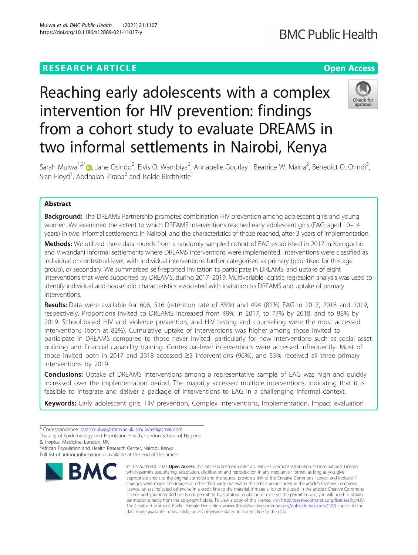# **RESEARCH ARTICLE Example 2014 12:30 The Contract of Contract ACCESS**

# **BMC Public Health**

# Reaching early adolescents with a complex intervention for HIV prevention: findings from a cohort study to evaluate DREAMS in two informal settlements in Nairobi, Kenya



Sarah Mulwa<sup>1,2[\\*](http://orcid.org/0000-0003-0934-6780)</sup> (@, Jane Osindo<sup>2</sup>, Elvis O. Wambiya<sup>2</sup>, Annabelle Gourlay<sup>1</sup>, Beatrice W. Maina<sup>2</sup>, Benedict O. Orindi<sup>3</sup> , Sian Floyd<sup>1</sup>, Abdhalah Ziraba<sup>2</sup> and Isolde Birdthistle<sup>1</sup>

# Abstract

**Background:** The DREAMS Partnership promotes combination HIV prevention among adolescent girls and young women. We examined the extent to which DREAMS interventions reached early adolescent girls (EAG; aged 10–14 years) in two informal settlements in Nairobi, and the characteristics of those reached, after 3 years of implementation.

Methods: We utilized three data rounds from a randomly-sampled cohort of EAG established in 2017 in Korogocho and Viwandani informal settlements where DREAMS interventions were implemented. Interventions were classified as individual or contextual-level, with individual interventions further categorised as primary (prioritised for this age group), or secondary. We summarised self-reported invitation to participate in DREAMS, and uptake of eight interventions that were supported by DREAMS, during 2017–2019. Multivariable logistic regression analysis was used to identify individual and household characteristics associated with invitation to DREAMS and uptake of primary interventions.

Results: Data were available for 606, 516 (retention rate of 85%) and 494 (82%) EAG in 2017, 2018 and 2019, respectively. Proportions invited to DREAMS increased from 49% in 2017, to 77% by 2018, and to 88% by 2019. School-based HIV and violence prevention, and HIV testing and counselling were the most accessed interventions (both at 82%). Cumulative uptake of interventions was higher among those invited to participate in DREAMS compared to those never invited, particularly for new interventions such as social asset building and financial capability training. Contextual-level interventions were accessed infrequently. Most of those invited both in 2017 and 2018 accessed ≥3 interventions (96%), and 55% received all three primary interventions by 2019.

**Conclusions:** Uptake of DREAMS interventions among a representative sample of EAG was high and quickly increased over the implementation period. The majority accessed multiple interventions, indicating that it is feasible to integrate and deliver a package of interventions to EAG in a challenging informal context.

Keywords: Early adolescent girls, HIV prevention, Complex interventions, Implementation, Impact evaluation

- <sup>1</sup>Faculty of Epidemiology and Population Health, London School of Hygiene
- & Tropical Medicine, London, UK

<sup>2</sup> African Population and Health Research Center, Nairobi, Kenya Full list of author information is available at the end of the article



<sup>©</sup> The Author(s), 2021 **Open Access** This article is licensed under a Creative Commons Attribution 4.0 International License, which permits use, sharing, adaptation, distribution and reproduction in any medium or format, as long as you give appropriate credit to the original author(s) and the source, provide a link to the Creative Commons licence, and indicate if changes were made. The images or other third party material in this article are included in the article's Creative Commons licence, unless indicated otherwise in a credit line to the material. If material is not included in the article's Creative Commons licence and your intended use is not permitted by statutory regulation or exceeds the permitted use, you will need to obtain permission directly from the copyright holder. To view a copy of this licence, visit [http://creativecommons.org/licenses/by/4.0/.](http://creativecommons.org/licenses/by/4.0/) The Creative Commons Public Domain Dedication waiver [\(http://creativecommons.org/publicdomain/zero/1.0/](http://creativecommons.org/publicdomain/zero/1.0/)) applies to the data made available in this article, unless otherwise stated in a credit line to the data.

<sup>\*</sup> Correspondence: [sarah.mulwa@lshtm.ac.uk;](mailto:sarah.mulwa@lshtm.ac.uk) [smulwa48@gmail.com](mailto:smulwa48@gmail.com) <sup>1</sup>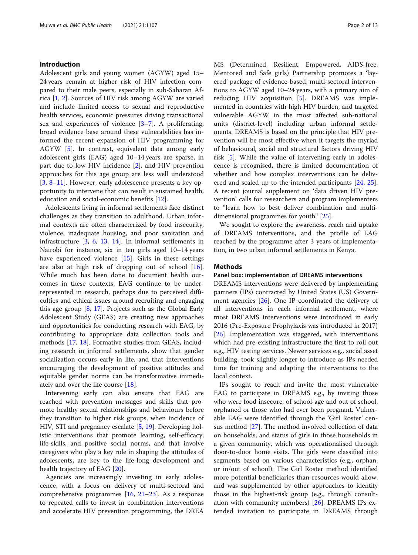# Introduction

Adolescent girls and young women (AGYW) aged 15– 24 years remain at higher risk of HIV infection compared to their male peers, especially in sub-Saharan Africa [[1,](#page-11-0) [2](#page-11-0)]. Sources of HIV risk among AGYW are varied and include limited access to sexual and reproductive health services, economic pressures driving transactional sex and experiences of violence [[3](#page-11-0)–[7](#page-11-0)]. A proliferating, broad evidence base around these vulnerabilities has informed the recent expansion of HIV programming for AGYW [[5\]](#page-11-0). In contrast, equivalent data among early adolescent girls (EAG) aged 10–14 years are sparse, in part due to low HIV incidence [[2\]](#page-11-0), and HIV prevention approaches for this age group are less well understood [[3,](#page-11-0) [8](#page-11-0)–[11\]](#page-11-0). However, early adolescence presents a key opportunity to intervene that can result in sustained health, education and social-economic benefits [\[12](#page-11-0)].

Adolescents living in informal settlements face distinct challenges as they transition to adulthood. Urban informal contexts are often characterized by food insecurity, violence, inadequate housing, and poor sanitation and infrastructure [\[3](#page-11-0), [6,](#page-11-0) [13](#page-11-0), [14](#page-11-0)]. In informal settlements in Nairobi for instance, six in ten girls aged 10–14 years have experienced violence [[15](#page-11-0)]. Girls in these settings are also at high risk of dropping out of school [\[16](#page-12-0)]. While much has been done to document health outcomes in these contexts, EAG continue to be underrepresented in research, perhaps due to perceived difficulties and ethical issues around recruiting and engaging this age group [\[8,](#page-11-0) [17\]](#page-12-0). Projects such as the Global Early Adolescent Study (GEAS) are creating new approaches and opportunities for conducting research with EAG, by contributing to appropriate data collection tools and methods [\[17](#page-12-0), [18](#page-12-0)]. Formative studies from GEAS, including research in informal settlements, show that gender socialization occurs early in life, and that interventions encouraging the development of positive attitudes and equitable gender norms can be transformative immediately and over the life course [\[18\]](#page-12-0).

Intervening early can also ensure that EAG are reached with prevention messages and skills that promote healthy sexual relationships and behaviours before they transition to higher risk groups, when incidence of HIV, STI and pregnancy escalate [\[5](#page-11-0), [19\]](#page-12-0). Developing holistic interventions that promote learning, self-efficacy, life-skills, and positive social norms, and that involve caregivers who play a key role in shaping the attitudes of adolescents, are key to the life-long development and health trajectory of EAG [\[20](#page-12-0)].

Agencies are increasingly investing in early adolescence, with a focus on delivery of multi-sectoral and comprehensive programmes [[16](#page-12-0), [21](#page-12-0)–[23](#page-12-0)]. As a response to repeated calls to invest in combination interventions and accelerate HIV prevention programming, the DREA MS (Determined, Resilient, Empowered, AIDS-free, Mentored and Safe girls) Partnership promotes a 'layered' package of evidence-based, multi-sectoral interventions to AGYW aged 10–24 years, with a primary aim of reducing HIV acquisition [\[5](#page-11-0)]. DREAMS was implemented in countries with high HIV burden, and targeted vulnerable AGYW in the most affected sub-national units (district-level) including urban informal settlements. DREAMS is based on the principle that HIV prevention will be most effective when it targets the myriad of behavioural, social and structural factors driving HIV risk [[5\]](#page-11-0). While the value of intervening early in adolescence is recognised, there is limited documentation of whether and how complex interventions can be deliv-ered and scaled up to the intended participants [\[24,](#page-12-0) [25](#page-12-0)]. A recent journal supplement on 'data driven HIV prevention' calls for researchers and program implementers to "learn how to best deliver combination and multidimensional programmes for youth" [\[25\]](#page-12-0).

We sought to explore the awareness, reach and uptake of DREAMS interventions, and the profile of EAG reached by the programme after 3 years of implementation, in two urban informal settlements in Kenya.

# Methods

# Panel box: implementation of DREAMS interventions

DREAMS interventions were delivered by implementing partners (IPs) contracted by United States (US) Government agencies [\[26](#page-12-0)]. One IP coordinated the delivery of all interventions in each informal settlement, where most DREAMS interventions were introduced in early 2016 (Pre-Exposure Prophylaxis was introduced in 2017) [[26\]](#page-12-0). Implementation was staggered, with interventions which had pre-existing infrastructure the first to roll out e.g., HIV testing services. Newer services e.g., social asset building, took slightly longer to introduce as IPs needed time for training and adapting the interventions to the local context.

IPs sought to reach and invite the most vulnerable EAG to participate in DREAMS e.g., by inviting those who were food insecure, of school-age and out of school, orphaned or those who had ever been pregnant. Vulnerable EAG were identified through the 'Girl Roster' census method [\[27](#page-12-0)]. The method involved collection of data on households, and status of girls in those households in a given community, which was operationalised through door-to-door home visits. The girls were classified into segments based on various characteristics (e.g., orphan, or in/out of school). The Girl Roster method identified more potential beneficiaries than resources would allow, and was supplemented by other approaches to identify those in the highest-risk group (e.g., through consultation with community members)  $[26]$  $[26]$ . DREAMS IPs extended invitation to participate in DREAMS through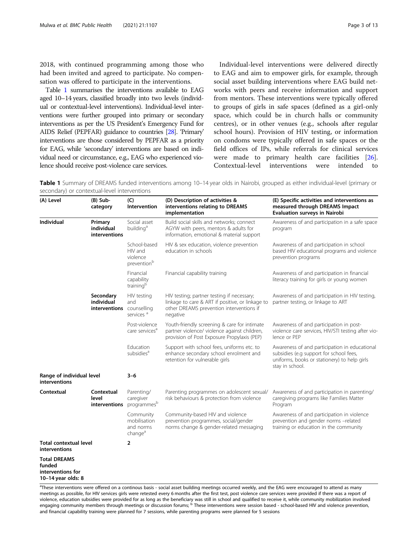<span id="page-2-0"></span>2018, with continued programming among those who had been invited and agreed to participate. No compensation was offered to participate in the interventions.

Table 1 summarises the interventions available to EAG aged 10–14 years, classified broadly into two levels (individual or contextual-level interventions). Individual-level interventions were further grouped into primary or secondary interventions as per the US President's Emergency Fund for AIDS Relief (PEPFAR) guidance to countries [\[28](#page-12-0)]. 'Primary' interventions are those considered by PEPFAR as a priority for EAG, while 'secondary' interventions are based on individual need or circumstance, e.g., EAG who experienced violence should receive post-violence care services.

Individual-level interventions were delivered directly to EAG and aim to empower girls, for example, through social asset building interventions where EAG build networks with peers and receive information and support from mentors. These interventions were typically offered to groups of girls in safe spaces (defined as a girl-only space, which could be in church halls or community centres), or in other venues (e.g., schools after regular school hours). Provision of HIV testing, or information on condoms were typically offered in safe spaces or the field offices of IPs, while referrals for clinical services were made to primary health care facilities [\[26](#page-12-0)]. Contextual-level interventions were intended to

Table 1 Summary of DREAMS funded interventions among 10–14 year olds in Nairobi, grouped as either individual-level (primary or secondary) or contextual-level interventions

| (A) Level<br>$(B)$ Sub-<br>category                                      |                                          | (C)<br>Intervention                                            | (D) Description of activities &<br>interventions relating to DREAMS<br>implementation                                                                  | (E) Specific activities and interventions as<br>measured through DREAMS Impact<br><b>Evaluation surveys in Nairobi</b>                                      |  |  |  |  |  |
|--------------------------------------------------------------------------|------------------------------------------|----------------------------------------------------------------|--------------------------------------------------------------------------------------------------------------------------------------------------------|-------------------------------------------------------------------------------------------------------------------------------------------------------------|--|--|--|--|--|
| <b>Individual</b>                                                        | Primary<br>individual<br>interventions   | Social asset<br>building <sup>a</sup>                          | Build social skills and networks; connect<br>AGYW with peers, mentors & adults for<br>information, emotional & material support                        | Awareness of and participation in a safe space<br>program                                                                                                   |  |  |  |  |  |
|                                                                          |                                          | School-based<br>HIV and<br>violence<br>prevention <sup>b</sup> | HIV & sex education, violence prevention<br>education in schools                                                                                       | Awareness of and participation in school<br>based HIV educational programs and violence<br>prevention programs                                              |  |  |  |  |  |
|                                                                          |                                          | Financial<br>capability<br>training <sup>b</sup>               | Financial capability training                                                                                                                          | Awareness of and participation in financial<br>literacy training for girls or young women                                                                   |  |  |  |  |  |
|                                                                          | Secondary<br>individual<br>interventions | HIV testing<br>and<br>counselling<br>services <sup>a</sup>     | HIV testing; partner testing if necessary;<br>linkage to care & ART if positive, or linkage to<br>other DREAMS prevention interventions if<br>negative | Awareness of and participation in HIV testing,<br>partner testing, or linkage to ART                                                                        |  |  |  |  |  |
|                                                                          |                                          | Post-violence<br>care services <sup>a</sup>                    | Youth-friendly screening & care for intimate<br>partner violence/ violence against children,<br>provision of Post Exposure Propylaxis (PEP)            | Awareness of and participation in post-<br>violence care services, HIV/STI testing after vio-<br>lence or PEP                                               |  |  |  |  |  |
|                                                                          |                                          | Education<br>subsidies <sup>a</sup>                            | Support with school fees, uniforms etc. to<br>enhance secondary school enrolment and<br>retention for vulnerable girls                                 | Awareness of and participation in educational<br>subsidies (e.g support for school fees,<br>uniforms, books or stationery) to help girls<br>stay in school. |  |  |  |  |  |
| Range of individual level<br><b>interventions</b>                        |                                          | $3 - 6$                                                        |                                                                                                                                                        |                                                                                                                                                             |  |  |  |  |  |
| Contextual                                                               | Contextual<br>level<br>interventions     | Parenting/<br>caregiver<br>programmesb                         | Parenting programmes on adolescent sexual/<br>risk behaviours & protection from violence                                                               | Awareness of and participation in parenting/<br>caregiving programs like Families Matter<br>Program                                                         |  |  |  |  |  |
|                                                                          |                                          | Community<br>mobilisation<br>and norms<br>change <sup>a</sup>  | Community-based HIV and violence<br>prevention programmes, social/gender<br>norms change & gender-related messaging                                    | Awareness of and participation in violence<br>prevention and gender norms -related<br>training or education in the community                                |  |  |  |  |  |
| <b>Total contextual level</b><br><b>interventions</b>                    |                                          | $\overline{2}$                                                 |                                                                                                                                                        |                                                                                                                                                             |  |  |  |  |  |
| <b>Total DREAMS</b><br>funded<br>interventions for<br>10-14 year olds: 8 |                                          |                                                                |                                                                                                                                                        |                                                                                                                                                             |  |  |  |  |  |

<sup>a</sup>These interventions were offered on a continous basis - social asset building meetings occurred weekly, and the EAG were encouraged to attend as many meetings as possible, for HIV services girls were retested every 6 months after the first test, post violence care services were provided if there was a report of violence, education subsidies were provided for as long as the beneficiary was still in school and qualified to receive it, while community mobilization involved<br>engaging community members through meetings or discussion fo and financial capability training were planned for 7 sessions, while parenting programs were planned for 5 sessions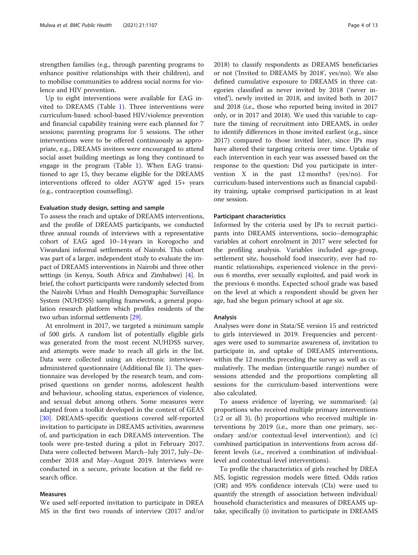strengthen families (e.g., through parenting programs to enhance positive relationships with their children), and to mobilise communities to address social norms for violence and HIV prevention.

Up to eight interventions were available for EAG invited to DREAMS (Table [1](#page-2-0)). Three interventions were curriculum-based: school-based HIV/violence prevention and financial capability training were each planned for 7 sessions; parenting programs for 5 sessions. The other interventions were to be offered continuously as appropriate, e.g., DREAMS invitees were encouraged to attend social asset building meetings as long they continued to engage in the program (Table [1](#page-2-0)). When EAG transitioned to age 15, they became eligible for the DREAMS interventions offered to older AGYW aged 15+ years (e.g., contraception counselling).

# Evaluation study design, setting and sample

To assess the reach and uptake of DREAMS interventions, and the profile of DREAMS participants, we conducted three annual rounds of interviews with a representative cohort of EAG aged 10–14 years in Korogocho and Viwandani informal settlements of Nairobi. This cohort was part of a larger, independent study to evaluate the impact of DREAMS interventions in Nairobi and three other settings (in Kenya, South Africa and Zimbabwe) [\[4](#page-11-0)]. In brief, the cohort participants were randomly selected from the Nairobi Urban and Health Demographic Surveillance System (NUHDSS) sampling framework, a general population research platform which profiles residents of the two urban informal settlements [\[29\]](#page-12-0).

At enrolment in 2017, we targeted a minimum sample of 500 girls. A random list of potentially eligible girls was generated from the most recent NUHDSS survey, and attempts were made to reach all girls in the list. Data were collected using an electronic intervieweradministered questionnaire (Additional file [1\)](#page-10-0). The questionnaire was developed by the research team, and comprised questions on gender norms, adolescent health and behaviour, schooling status, experiences of violence, and sexual debut among others. Some measures were adapted from a toolkit developed in the context of GEAS [[30\]](#page-12-0). DREAMS-specific questions covered self-reported invitation to participate in DREAMS activities, awareness of, and participation in each DREAMS intervention. The tools were pre-tested during a pilot in February 2017. Data were collected between March–July 2017, July–December 2018 and May–August 2019. Interviews were conducted in a secure, private location at the field research office.

# Measures

We used self-reported invitation to participate in DREA MS in the first two rounds of interview (2017 and/or 2018) to classify respondents as DREAMS beneficiaries or not ('Invited to DREAMS by 2018', yes/no). We also defined cumulative exposure to DREAMS in three categories classified as never invited by 2018 ('never invited'), newly invited in 2018, and invited both in 2017 and 2018 (i.e., those who reported being invited in 2017 only, or in 2017 and 2018). We used this variable to capture the timing of recruitment into DREAMS, in order to identify differences in those invited earliest (e.g., since 2017) compared to those invited later, since IPs may have altered their targeting criteria over time. Uptake of each intervention in each year was assessed based on the response to the question: Did you participate in intervention X in the past 12 months? (yes/no). For curriculum-based interventions such as financial capability training, uptake comprised participation in at least one session.

# Participant characteristics

Informed by the criteria used by IPs to recruit participants into DREAMS interventions, socio−demographic variables at cohort enrolment in 2017 were selected for the profiling analysis. Variables included age-group, settlement site, household food insecurity, ever had romantic relationships, experienced violence in the previous 6 months, ever sexually exploited, and paid work in the previous 6 months. Expected school grade was based on the level at which a respondent should be given her age, had she begun primary school at age six.

# Analysis

Analyses were done in Stata/SE version 15 and restricted to girls interviewed in 2019. Frequencies and percentages were used to summarize awareness of, invitation to participate in, and uptake of DREAMS interventions, within the 12 months preceding the survey as well as cumulatively. The median (interquartile range) number of sessions attended and the proportions completing all sessions for the curriculum-based interventions were also calculated.

To assess evidence of layering, we summarised: (a) proportions who received multiple primary interventions  $(\geq 2$  or all 3), (b) proportions who received multiple interventions by 2019 (i.e., more than one primary, secondary and/or contextual-level intervention); and (c) combined participation in interventions from across different levels (i.e., received a combination of individuallevel and contextual-level interventions).

To profile the characteristics of girls reached by DREA MS, logistic regression models were fitted. Odds ratios (OR) and 95% confidence intervals (CIs) were used to quantify the strength of association between individual/ household characteristics and measures of DREAMS uptake, specifically (i) invitation to participate in DREAMS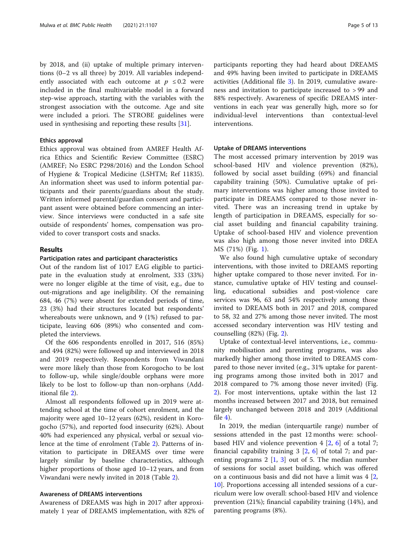by 2018, and (ii) uptake of multiple primary interventions (0–2 vs all three) by 2019. All variables independently associated with each outcome at  $p \leq 0.2$  were included in the final multivariable model in a forward step-wise approach, starting with the variables with the strongest association with the outcome. Age and site were included a priori. The STROBE guidelines were

used in synthesising and reporting these results [\[31\]](#page-12-0).

# Ethics approval

Ethics approval was obtained from AMREF Health Africa Ethics and Scientific Review Committee (ESRC) (AMREF; No ESRC P298/2016) and the London School of Hygiene & Tropical Medicine (LSHTM; Ref 11835). An information sheet was used to inform potential participants and their parents/guardians about the study. Written informed parental/guardian consent and participant assent were obtained before commencing an interview. Since interviews were conducted in a safe site outside of respondents' homes, compensation was provided to cover transport costs and snacks.

# Results

# Participation rates and participant characteristics

Out of the random list of 1017 EAG eligible to participate in the evaluation study at enrolment, 333 (33%) were no longer eligible at the time of visit, e.g., due to out-migrations and age ineligibility. Of the remaining 684, 46 (7%) were absent for extended periods of time, 23 (3%) had their structures located but respondents' whereabouts were unknown, and 9 (1%) refused to participate, leaving 606 (89%) who consented and completed the interviews.

Of the 606 respondents enrolled in 2017, 516 (85%) and 494 (82%) were followed up and interviewed in 2018 and 2019 respectively. Respondents from Viwandani were more likely than those from Korogocho to be lost to follow-up, while single/double orphans were more likely to be lost to follow-up than non-orphans (Additional file [2\)](#page-10-0).

Almost all respondents followed up in 2019 were attending school at the time of cohort enrolment, and the majority were aged 10–12 years (62%), resident in Korogocho (57%), and reported food insecurity (62%). About 40% had experienced any physical, verbal or sexual violence at the time of enrolment (Table [2\)](#page-5-0). Patterns of invitation to participate in DREAMS over time were largely similar by baseline characteristics, although higher proportions of those aged 10–12 years, and from Viwandani were newly invited in 2018 (Table [2](#page-5-0)).

# Awareness of DREAMS interventions

Awareness of DREAMS was high in 2017 after approximately 1 year of DREAMS implementation, with 82% of

participants reporting they had heard about DREAMS and 49% having been invited to participate in DREAMS activities (Additional file [3](#page-11-0)). In 2019, cumulative awareness and invitation to participate increased to > 99 and 88% respectively. Awareness of specific DREAMS interventions in each year was generally high, more so for individual-level interventions than contextual-level interventions.

# Uptake of DREAMS interventions

The most accessed primary intervention by 2019 was school-based HIV and violence prevention (82%), followed by social asset building (69%) and financial capability training (50%). Cumulative uptake of primary interventions was higher among those invited to participate in DREAMS compared to those never invited. There was an increasing trend in uptake by length of participation in DREAMS, especially for social asset building and financial capability training. Uptake of school-based HIV and violence prevention was also high among those never invited into DREA MS (71%) (Fig. [1](#page-6-0)).

We also found high cumulative uptake of secondary interventions, with those invited to DREAMS reporting higher uptake compared to those never invited. For instance, cumulative uptake of HIV testing and counselling, educational subsidies and post-violence care services was 96, 63 and 54% respectively among those invited to DREAMS both in 2017 and 2018, compared to 58, 32 and 27% among those never invited. The most accessed secondary intervention was HIV testing and counselling (82%) (Fig. [2](#page-6-0)).

Uptake of contextual-level interventions, i.e., community mobilisation and parenting programs, was also markedly higher among those invited to DREAMS compared to those never invited (e.g., 31% uptake for parenting programs among those invited both in 2017 and 2018 compared to 7% among those never invited) (Fig. [2\)](#page-6-0). For most interventions, uptake within the last 12 months increased between 2017 and 2018, but remained largely unchanged between 2018 and 2019 (Additional file  $4$ ).

In 2019, the median (interquartile range) number of sessions attended in the past 12 months were: schoolbased HIV and violence prevention 4 [\[2](#page-11-0), [6](#page-11-0)] of a total 7; financial capability training 3 [\[2,](#page-11-0) [6](#page-11-0)] of total 7; and parenting programs  $2 \left[ 1, 3 \right]$  $2 \left[ 1, 3 \right]$  $2 \left[ 1, 3 \right]$  out of 5. The median number of sessions for social asset building, which was offered on a continuous basis and did not have a limit was 4 [[2](#page-11-0), [10\]](#page-11-0). Proportions accessing all intended sessions of a curriculum were low overall: school-based HIV and violence prevention (21%); financial capability training (14%), and parenting programs (8%).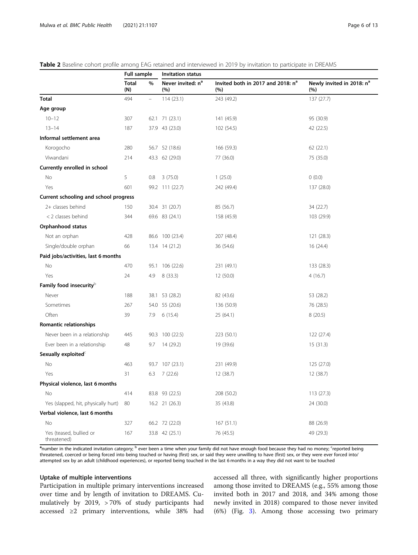|                                        | <b>Full sample</b>       |          | <b>Invitation status</b>             |                                                      |                                              |  |  |  |  |
|----------------------------------------|--------------------------|----------|--------------------------------------|------------------------------------------------------|----------------------------------------------|--|--|--|--|
|                                        | <b>Total</b><br>%<br>(N) |          | Never invited: n <sup>a</sup><br>(%) | Invited both in 2017 and 2018: n <sup>a</sup><br>(%) | Newly invited in 2018: n <sup>a</sup><br>(%) |  |  |  |  |
| <b>Total</b>                           | 494                      | $\equiv$ | 114(23.1)                            | 243 (49.2)                                           | 137 (27.7)                                   |  |  |  |  |
| Age group                              |                          |          |                                      |                                                      |                                              |  |  |  |  |
| $10 - 12$                              | 307                      | 62.1     | 71 (23.1)                            | 141 (45.9)                                           | 95 (30.9)                                    |  |  |  |  |
| $13 - 14$                              | 187                      |          | 37.9 43 (23.0)                       | 102 (54.5)                                           | 42 (22.5)                                    |  |  |  |  |
| Informal settlement area               |                          |          |                                      |                                                      |                                              |  |  |  |  |
| Korogocho                              | 280                      |          | 56.7 52 (18.6)                       | 166 (59.3)                                           | 62 (22.1)                                    |  |  |  |  |
| Viwandani                              | 214                      |          | 43.3 62 (29.0)                       | 77 (36.0)                                            | 75 (35.0)                                    |  |  |  |  |
| Currently enrolled in school           |                          |          |                                      |                                                      |                                              |  |  |  |  |
| No                                     | 5                        | 0.8      | 3(75.0)                              | 1(25.0)                                              | 0(0.0)                                       |  |  |  |  |
| Yes                                    | 601                      |          | 99.2 111 (22.7)                      | 242 (49.4)                                           | 137 (28.0)                                   |  |  |  |  |
| Current schooling and school progress  |                          |          |                                      |                                                      |                                              |  |  |  |  |
| 2+ classes behind                      | 150                      |          | 30.4 31 (20.7)                       | 85 (56.7)                                            | 34 (22.7)                                    |  |  |  |  |
| < 2 classes behind                     | 344                      |          | 69.6 83 (24.1)                       | 158 (45.9)                                           | 103 (29.9)                                   |  |  |  |  |
| Orphanhood status                      |                          |          |                                      |                                                      |                                              |  |  |  |  |
| Not an orphan                          | 428                      |          | 86.6 100 (23.4)                      | 207 (48.4)                                           | 121 (28.3)                                   |  |  |  |  |
| Single/double orphan                   | 66                       |          | 13.4 14 (21.2)                       | 36 (54.6)                                            | 16(24.4)                                     |  |  |  |  |
| Paid jobs/activities, last 6 months    |                          |          |                                      |                                                      |                                              |  |  |  |  |
| No                                     | 470                      | 95.1     | 106 (22.6)                           | 231 (49.1)                                           | 133 (28.3)                                   |  |  |  |  |
| Yes                                    | 24                       | 4.9      | 8(33.3)                              | 12 (50.0)                                            | 4(16.7)                                      |  |  |  |  |
| Family food insecurity <sup>b</sup>    |                          |          |                                      |                                                      |                                              |  |  |  |  |
| Never                                  | 188                      | 38.1     | 53 (28.2)                            | 82 (43.6)                                            | 53 (28.2)                                    |  |  |  |  |
| Sometimes                              | 267                      |          | 54.0 55 (20.6)                       | 136 (50.9)                                           | 76 (28.5)                                    |  |  |  |  |
| Often                                  | 39                       | 7.9      | 6(15.4)                              | 25 (64.1)                                            | 8(20.5)                                      |  |  |  |  |
| Romantic relationships                 |                          |          |                                      |                                                      |                                              |  |  |  |  |
| Never been in a relationship           | 445                      |          | 90.3 100 (22.5)                      | 223 (50.1)                                           | 122 (27.4)                                   |  |  |  |  |
| Ever been in a relationship            | 48                       | 9.7      | 14 (29.2)                            | 19 (39.6)                                            | 15(31.3)                                     |  |  |  |  |
| Sexually exploited <sup>c</sup>        |                          |          |                                      |                                                      |                                              |  |  |  |  |
| No                                     | 463                      |          | 93.7 107 (23.1)                      | 231 (49.9)                                           | 125 (27.0)                                   |  |  |  |  |
| Yes                                    | 31                       | 6.3      | 7(22.6)                              | 12 (38.7)                                            | 12 (38.7)                                    |  |  |  |  |
| Physical violence, last 6 months       |                          |          |                                      |                                                      |                                              |  |  |  |  |
| No                                     | 414                      |          | 83.8 93 (22.5)                       | 208 (50.2)                                           | 113 (27.3)                                   |  |  |  |  |
| Yes (slapped, hit, physically hurt)    | 80                       |          | 16.2 21 (26.3)                       | 35 (43.8)                                            | 24 (30.0)                                    |  |  |  |  |
| Verbal violence, last 6 months         |                          |          |                                      |                                                      |                                              |  |  |  |  |
| No                                     | 327                      |          | 66.2 72 (22.0)                       | 167(51.1)                                            | 88 (26.9)                                    |  |  |  |  |
| Yes (teased, bullied or<br>threatened) | 167                      |          | 33.8 42 (25.1)                       | 76 (45.5)                                            | 49 (29.3)                                    |  |  |  |  |

# <span id="page-5-0"></span>Table 2 Baseline cohort profile among EAG retained and interviewed in 2019 by invitation to participate in DREAMS

<sup>a</sup>number in the indicated invitation category; <sup>b</sup> ever been a time when your family did not have enough food because they had no money; <sup>c</sup>reported being threatened, coerced or being forced into being touched or having (first) sex, or said they were unwilling to have (first) sex, or they were ever forced into/ attempted sex by an adult (childhood experiences), or reported being touched in the last 6 months in a way they did not want to be touched

# Uptake of multiple interventions

Participation in multiple primary interventions increased over time and by length of invitation to DREAMS. Cumulatively by 2019, > 70% of study participants had accessed ≥2 primary interventions, while 38% had accessed all three, with significantly higher proportions among those invited to DREAMS (e.g., 55% among those invited both in 2017 and 2018, and 34% among those newly invited in 2018) compared to those never invited (6%) (Fig. [3\)](#page-7-0). Among those accessing two primary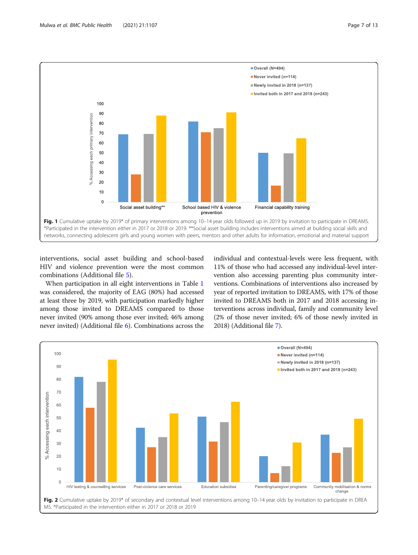<span id="page-6-0"></span>

interventions, social asset building and school-based HIV and violence prevention were the most common combinations (Additional file [5](#page-11-0)).

When participation in all eight interventions in Table [1](#page-2-0) was considered, the majority of EAG (80%) had accessed at least three by 2019, with participation markedly higher among those invited to DREAMS compared to those never invited (90% among those ever invited; 46% among never invited) (Additional file [6\)](#page-11-0). Combinations across the individual and contextual-levels were less frequent, with 11% of those who had accessed any individual-level intervention also accessing parenting plus community interventions. Combinations of interventions also increased by year of reported invitation to DREAMS, with 17% of those invited to DREAMS both in 2017 and 2018 accessing interventions across individual, family and community level (2% of those never invited; 6% of those newly invited in 2018) (Additional file [7](#page-11-0)).

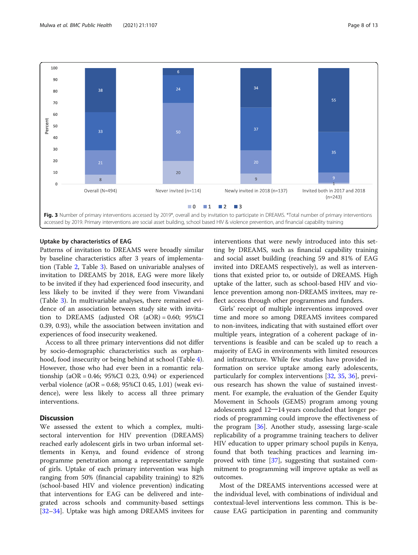<span id="page-7-0"></span>

# Uptake by characteristics of EAG

Patterns of invitation to DREAMS were broadly similar by baseline characteristics after 3 years of implementation (Table [2,](#page-5-0) Table [3\)](#page-8-0). Based on univariable analyses of invitation to DREAMS by 2018, EAG were more likely to be invited if they had experienced food insecurity, and less likely to be invited if they were from Viwandani (Table [3](#page-8-0)). In multivariable analyses, there remained evidence of an association between study site with invitation to DREAMS (adjusted OR (aOR) = 0.60; 95%CI 0.39, 0.93), while the association between invitation and experiences of food insecurity weakened.

Access to all three primary interventions did not differ by socio-demographic characteristics such as orphanhood, food insecurity or being behind at school (Table [4](#page-9-0)). However, those who had ever been in a romantic relationship ( $aOR = 0.46$ ;  $95\%CI$  0.23, 0.94) or experienced verbal violence (aOR = 0.68; 95%CI 0.45, 1.01) (weak evidence), were less likely to access all three primary interventions.

# **Discussion**

We assessed the extent to which a complex, multisectoral intervention for HIV prevention (DREAMS) reached early adolescent girls in two urban informal settlements in Kenya, and found evidence of strong programme penetration among a representative sample of girls. Uptake of each primary intervention was high ranging from 50% (financial capability training) to 82% (school-based HIV and violence prevention) indicating that interventions for EAG can be delivered and integrated across schools and community-based settings [[32](#page-12-0)–[34](#page-12-0)]. Uptake was high among DREAMS invitees for interventions that were newly introduced into this setting by DREAMS, such as financial capability training and social asset building (reaching 59 and 81% of EAG invited into DREAMS respectively), as well as interventions that existed prior to, or outside of DREAMS. High uptake of the latter, such as school-based HIV and violence prevention among non-DREAMS invitees, may reflect access through other programmes and funders.

Girls' receipt of multiple interventions improved over time and more so among DREAMS invitees compared to non-invitees, indicating that with sustained effort over multiple years, integration of a coherent package of interventions is feasible and can be scaled up to reach a majority of EAG in environments with limited resources and infrastructure. While few studies have provided information on service uptake among early adolescents, particularly for complex interventions [\[32](#page-12-0), [35](#page-12-0), [36](#page-12-0)], previous research has shown the value of sustained investment. For example, the evaluation of the Gender Equity Movement in Schools (GEMS) program among young adolescents aged 12─14 years concluded that longer periods of programming could improve the effectiveness of the program [[36\]](#page-12-0). Another study, assessing large-scale replicability of a programme training teachers to deliver HIV education to upper primary school pupils in Kenya, found that both teaching practices and learning improved with time [\[37](#page-12-0)], suggesting that sustained commitment to programming will improve uptake as well as outcomes.

Most of the DREAMS interventions accessed were at the individual level, with combinations of individual and contextual-level interventions less common. This is because EAG participation in parenting and community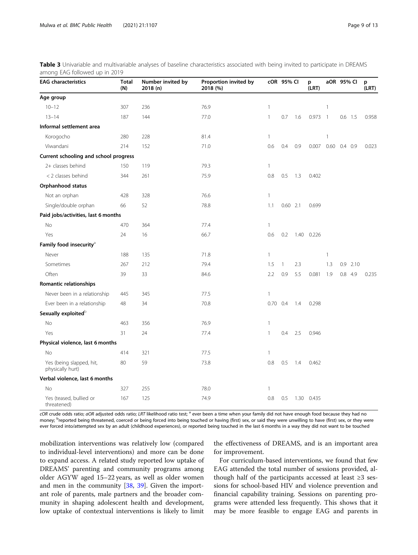| <b>EAG characteristics</b>                   | <b>Total</b><br>(N) | Number invited by<br>2018 (n) | Proportion invited by<br>2018 (%) |            | cOR 95% CI   |     | p<br>(LRT) | aOR 95% CI     |     |           | p<br>(LRT) |  |
|----------------------------------------------|---------------------|-------------------------------|-----------------------------------|------------|--------------|-----|------------|----------------|-----|-----------|------------|--|
| Age group                                    |                     |                               |                                   |            |              |     |            |                |     |           |            |  |
| $10 - 12$                                    | 307                 | 236                           | 76.9                              | 1          |              |     |            | $\overline{1}$ |     |           |            |  |
| $13 - 14$                                    | 187                 | 144                           | 77.0                              | 1          | 0.7          | 1.6 | $0.973$ 1  |                |     | $0.6$ 1.5 | 0.958      |  |
| Informal settlement area                     |                     |                               |                                   |            |              |     |            |                |     |           |            |  |
| Korogocho                                    | 280                 | 228                           | 81.4                              | 1          |              |     |            | $\mathbf{1}$   |     |           |            |  |
| Viwandani                                    | 214                 | 152                           | 71.0                              | 0.6        | 0.4          | 0.9 | 0.007      | $0.60$ 0.4 0.9 |     |           | 0.023      |  |
| Current schooling and school progress        |                     |                               |                                   |            |              |     |            |                |     |           |            |  |
| 2+ classes behind                            | 150                 | 119                           | 79.3                              | 1          |              |     |            |                |     |           |            |  |
| < 2 classes behind                           | 344                 | 261                           | 75.9                              | 0.8        | 0.5          | 1.3 | 0.402      |                |     |           |            |  |
| Orphanhood status                            |                     |                               |                                   |            |              |     |            |                |     |           |            |  |
| Not an orphan                                | 428                 | 328                           | 76.6                              | 1          |              |     |            |                |     |           |            |  |
| Single/double orphan                         | 66                  | 52                            | 78.8                              | 1.1        | $0.60$ 2.1   |     | 0.699      |                |     |           |            |  |
| Paid jobs/activities, last 6 months          |                     |                               |                                   |            |              |     |            |                |     |           |            |  |
| <b>No</b>                                    | 470                 | 364                           | 77.4                              | 1          |              |     |            |                |     |           |            |  |
| Yes                                          | 24                  | 16                            | 66.7                              | 0.6        | 0.2          |     | 1.40 0.226 |                |     |           |            |  |
| Family food insecurity <sup>a</sup>          |                     |                               |                                   |            |              |     |            |                |     |           |            |  |
| Never                                        | 188                 | 135                           | 71.8                              | 1          |              |     |            | $\overline{1}$ |     |           |            |  |
| Sometimes                                    | 267                 | 212                           | 79.4                              | 1.5        | $\mathbf{1}$ | 2.3 |            | 1.3            | 0.9 | 2.10      |            |  |
| Often                                        | 39                  | 33                            | 84.6                              | 2.2        | 0.9          | 5.5 | 0.081      | 1.9            |     | $0.8$ 4.9 | 0.235      |  |
| Romantic relationships                       |                     |                               |                                   |            |              |     |            |                |     |           |            |  |
| Never been in a relationship                 | 445                 | 345                           | 77.5                              | 1          |              |     |            |                |     |           |            |  |
| Ever been in a relationship                  | 48                  | 34                            | 70.8                              | $0.70$ 0.4 |              | 1.4 | 0.298      |                |     |           |            |  |
| Sexually exploited <sup>b</sup>              |                     |                               |                                   |            |              |     |            |                |     |           |            |  |
| No                                           | 463                 | 356                           | 76.9                              | 1          |              |     |            |                |     |           |            |  |
| Yes                                          | 31                  | 24                            | 77.4                              | 1          | 0.4          | 2.5 | 0.946      |                |     |           |            |  |
| Physical violence, last 6 months             |                     |                               |                                   |            |              |     |            |                |     |           |            |  |
| No                                           | 414                 | 321                           | 77.5                              | 1          |              |     |            |                |     |           |            |  |
| Yes (being slapped, hit,<br>physically hurt) | 80                  | 59                            | 73.8                              | 0.8        | 0.5          | 1.4 | 0.462      |                |     |           |            |  |
| Verbal violence, last 6 months               |                     |                               |                                   |            |              |     |            |                |     |           |            |  |
| No                                           | 327                 | 255                           | 78.0                              | 1          |              |     |            |                |     |           |            |  |
| Yes (teased, bullied or<br>threatened)       | 167                 | 125                           | 74.9                              | 0.8        | 0.5          |     | 1.30 0.435 |                |     |           |            |  |

<span id="page-8-0"></span>Table 3 Univariable and multivariable analyses of baseline characteristics associated with being invited to participate in DREAMS among EAG followed up in 2019

cOR crude odds ratio; aOR adjusted odds ratio; LRT likelihood ratio test; <sup>a</sup> ever been a time when your family did not have enough food because they had no money; <sup>b</sup>reported being threatened, coerced or being forced into being touched or having (first) sex, or said they were unwilling to have (first) sex, or they were ever forced into/attempted sex by an adult (childhood experiences), or reported being touched in the last 6 months in a way they did not want to be touched

mobilization interventions was relatively low (compared to individual-level interventions) and more can be done to expand access. A related study reported low uptake of DREAMS' parenting and community programs among older AGYW aged 15–22 years, as well as older women and men in the community [[38](#page-12-0), [39](#page-12-0)]. Given the important role of parents, male partners and the broader community in shaping adolescent health and development, low uptake of contextual interventions is likely to limit

the effectiveness of DREAMS, and is an important area for improvement.

For curriculum-based interventions, we found that few EAG attended the total number of sessions provided, although half of the participants accessed at least ≥3 sessions for school-based HIV and violence prevention and financial capability training. Sessions on parenting programs were attended less frequently. This shows that it may be more feasible to engage EAG and parents in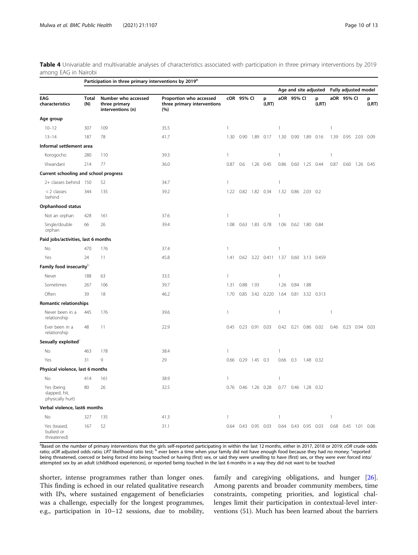<span id="page-9-0"></span>Table 4 Univariable and multivariable analyses of characteristics associated with participation in three primary interventions by 2019 among EAG in Nairobi

|                                                 | Participation in three primary interventions by 2019 <sup>a</sup> |                                                           |                                                               |              |            |                     |                      |                       |                     |                |                 |                      |                |                |            |
|-------------------------------------------------|-------------------------------------------------------------------|-----------------------------------------------------------|---------------------------------------------------------------|--------------|------------|---------------------|----------------------|-----------------------|---------------------|----------------|-----------------|----------------------|----------------|----------------|------------|
|                                                 |                                                                   |                                                           |                                                               |              |            |                     |                      | Age and site adjusted |                     |                |                 | Fully adjusted model |                |                |            |
| EAG<br>characteristics                          | Total<br>(N)                                                      | Number who accessed<br>three primary<br>interventions (n) | Proportion who accessed<br>three primary interventions<br>(%) |              | cOR 95% CI |                     | p<br>(LRT)           |                       | aOR 95% CI          |                | p<br>(LRT)      |                      | aOR 95% CI     |                | p<br>(LRT) |
| Age group                                       |                                                                   |                                                           |                                                               |              |            |                     |                      |                       |                     |                |                 |                      |                |                |            |
| $10 - 12$                                       | 307                                                               | 109                                                       | 35.5                                                          | $\mathbf{1}$ |            |                     |                      | 1                     |                     |                |                 | 1                    |                |                |            |
| $13 - 14$                                       | 187                                                               | 78                                                        | 41.7                                                          | 1.30         |            | 0.90 1.89 0.17      |                      | 1.30                  | 0.90                | 1.89 0.16      |                 | 1.39                 |                | 0.95 2.03 0.09 |            |
| Informal settlement area                        |                                                                   |                                                           |                                                               |              |            |                     |                      |                       |                     |                |                 |                      |                |                |            |
| Korogocho                                       | 280                                                               | 110                                                       | 39.3                                                          | $\mathbf{1}$ |            |                     |                      | 1                     |                     |                |                 | 1                    |                |                |            |
| Viwandani                                       | 214                                                               | 77                                                        | 36.0                                                          | 0.87         | 0.6        |                     | 1.26 0.45            | 0.86                  |                     | 0.60 1.25 0.44 |                 | 0.87                 |                | $0.60$ 1.26    | 0.45       |
| Current schooling and school progress           |                                                                   |                                                           |                                                               |              |            |                     |                      |                       |                     |                |                 |                      |                |                |            |
| 2+ classes behind 150                           |                                                                   | 52                                                        | 34.7                                                          | $\mathbf{1}$ |            |                     |                      | 1                     |                     |                |                 |                      |                |                |            |
| < 2 classes<br>behind                           | 344                                                               | 135                                                       | 39.2                                                          |              |            | 1.22 0.82 1.82 0.34 |                      |                       | 1.32 0.86 2.03 0.2  |                |                 |                      |                |                |            |
| Orphanhood status                               |                                                                   |                                                           |                                                               |              |            |                     |                      |                       |                     |                |                 |                      |                |                |            |
| Not an orphan                                   | 428                                                               | 161                                                       | 37.6                                                          | $\mathbf{1}$ |            |                     |                      | 1                     |                     |                |                 |                      |                |                |            |
| Single/double<br>orphan                         | 66                                                                | 26                                                        | 39.4                                                          | 1.08         |            | 0.63 1.83 0.78      |                      | 1.06                  |                     | 0.62 1.80 0.84 |                 |                      |                |                |            |
| Paid jobs/activities, last 6 months             |                                                                   |                                                           |                                                               |              |            |                     |                      |                       |                     |                |                 |                      |                |                |            |
| No                                              | 470                                                               | 176                                                       | 37.4                                                          | $\mathbf{1}$ |            |                     |                      | 1                     |                     |                |                 |                      |                |                |            |
| Yes                                             | 24                                                                | 11                                                        | 45.8                                                          | 1.41         |            |                     | 0.62 3.22 0.411 1.37 |                       |                     |                | 0.60 3.13 0.459 |                      |                |                |            |
| Family food insecurity <sup>b</sup>             |                                                                   |                                                           |                                                               |              |            |                     |                      |                       |                     |                |                 |                      |                |                |            |
| Never                                           | 188                                                               | 63                                                        | 33.5                                                          | $\mathbf{1}$ |            |                     |                      | 1                     |                     |                |                 |                      |                |                |            |
| Sometimes                                       | 267                                                               | 106                                                       | 39.7                                                          | 1.31         | 0.88       | 1.93                |                      | 1.26                  | 0.84                | 1.88           |                 |                      |                |                |            |
| Often                                           | 39                                                                | 18                                                        | 46.2                                                          | 1.70         |            |                     | 0.85 3.42 0.220      | 1.64                  |                     |                | 0.81 3.32 0.313 |                      |                |                |            |
| Romantic relationships                          |                                                                   |                                                           |                                                               |              |            |                     |                      |                       |                     |                |                 |                      |                |                |            |
| Never been in a<br>relationship                 | 445                                                               | 176                                                       | 39.6                                                          | $\mathbf{1}$ |            |                     |                      | 1                     |                     |                |                 | 1                    |                |                |            |
| Ever been in a<br>relationship                  | 48                                                                | 11                                                        | 22.9                                                          | 0.45         |            | 0.23 0.91 0.03      |                      |                       | 0.42 0.21 0.86 0.02 |                |                 | 0.46                 | 0.23 0.94 0.03 |                |            |
| Sexually exploited <sup>c</sup>                 |                                                                   |                                                           |                                                               |              |            |                     |                      |                       |                     |                |                 |                      |                |                |            |
| No                                              | 463                                                               | 178                                                       | 38.4                                                          | 1            |            |                     |                      | 1                     |                     |                |                 |                      |                |                |            |
| Yes                                             | 31                                                                | 9                                                         | 29                                                            | 0.66         |            | $0.29$ 1.45 0.3     |                      | 0.66                  | 0.3                 |                | 1.48 0.32       |                      |                |                |            |
| Physical violence, last 6 months                |                                                                   |                                                           |                                                               |              |            |                     |                      |                       |                     |                |                 |                      |                |                |            |
| No                                              | 414                                                               | 161                                                       | 38.9                                                          | $\mathbf{1}$ |            |                     |                      | 1                     |                     |                |                 |                      |                |                |            |
| Yes (being<br>slapped, hit,<br>physically hurt) | 80                                                                | 26                                                        | 32.5                                                          | 0.76         |            | 0.46 1.26 0.28      |                      | 0.77                  | 0.46                | 1.28 0.32      |                 |                      |                |                |            |
| Verbal violence, last6 months                   |                                                                   |                                                           |                                                               |              |            |                     |                      |                       |                     |                |                 |                      |                |                |            |
| No                                              | 327                                                               | 135                                                       | 41.3                                                          | 1            |            |                     |                      | 1                     |                     |                |                 | 1                    |                |                |            |
| Yes (teased,<br>bullied or<br>threatened)       | 167                                                               | 52                                                        | 31.1                                                          | 0.64         |            | 0.43 0.95 0.03      |                      | 0.64                  |                     | 0.43 0.95      | 0.03            | 0.68                 |                | $0.45$ 1.01    | 0.06       |

<sup>a</sup>Based on the number of primary interventions that the girls self-reported participating in within the last 12 months, either in 2017, 2018 or 2019; cOR crude odds ratio; aOR adjusted odds ratio; LRT likelihood ratio test; <sup>b</sup> ever been a time when your family did not have enough food because they had no money; <sup>c</sup>reported being threatened, coerced or being forced into being touched or having (first) sex, or said they were unwilling to have (first) sex, or they were ever forced into/<br>attempted sex by an adult (childhood experiences), or repo

shorter, intense programmes rather than longer ones. This finding is echoed in our related qualitative research with IPs, where sustained engagement of beneficiaries was a challenge, especially for the longest programmes, e.g., participation in 10–12 sessions, due to mobility,

family and caregiving obligations, and hunger [\[26](#page-12-0)]. Among parents and broader community members, time constraints, competing priorities, and logistical challenges limit their participation in contextual-level interventions (51). Much has been learned about the barriers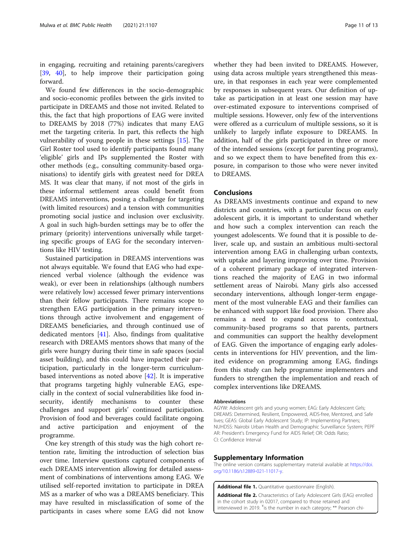<span id="page-10-0"></span>in engaging, recruiting and retaining parents/caregivers [[39,](#page-12-0) [40\]](#page-12-0), to help improve their participation going forward.

We found few differences in the socio-demographic and socio-economic profiles between the girls invited to participate in DREAMS and those not invited. Related to this, the fact that high proportions of EAG were invited to DREAMS by 2018 (77%) indicates that many EAG met the targeting criteria. In part, this reflects the high vulnerability of young people in these settings [[15](#page-11-0)]. The Girl Roster tool used to identify participants found many 'eligible' girls and IPs supplemented the Roster with other methods (e.g., consulting community-based organisations) to identify girls with greatest need for DREA MS. It was clear that many, if not most of the girls in these informal settlement areas could benefit from DREAMS interventions, posing a challenge for targeting (with limited resources) and a tension with communities promoting social justice and inclusion over exclusivity. A goal in such high-burden settings may be to offer the primary (priority) interventions universally while targeting specific groups of EAG for the secondary interventions like HIV testing.

Sustained participation in DREAMS interventions was not always equitable. We found that EAG who had experienced verbal violence (although the evidence was weak), or ever been in relationships (although numbers were relatively low) accessed fewer primary interventions than their fellow participants. There remains scope to strengthen EAG participation in the primary interventions through active involvement and engagement of DREAMS beneficiaries, and through continued use of dedicated mentors [[41\]](#page-12-0). Also, findings from qualitative research with DREAMS mentors shows that many of the girls were hungry during their time in safe spaces (social asset building), and this could have impacted their participation, particularly in the longer-term curriculumbased interventions as noted above [\[42\]](#page-12-0). It is imperative that programs targeting highly vulnerable EAG, especially in the context of social vulnerabilities like food insecurity, identify mechanisms to counter these challenges and support girls' continued participation. Provision of food and beverages could facilitate ongoing and active participation and enjoyment of the programme.

One key strength of this study was the high cohort retention rate, limiting the introduction of selection bias over time. Interview questions captured components of each DREAMS intervention allowing for detailed assessment of combinations of interventions among EAG. We utilised self-reported invitation to participate in DREA MS as a marker of who was a DREAMS beneficiary. This may have resulted in misclassification of some of the participants in cases where some EAG did not know whether they had been invited to DREAMS. However, using data across multiple years strengthened this measure, in that responses in each year were complemented by responses in subsequent years. Our definition of uptake as participation in at least one session may have over-estimated exposure to interventions comprised of multiple sessions. However, only few of the interventions were offered as a curriculum of multiple sessions, so it is unlikely to largely inflate exposure to DREAMS. In addition, half of the girls participated in three or more of the intended sessions (except for parenting programs), and so we expect them to have benefited from this exposure, in comparison to those who were never invited to DREAMS.

# Conclusions

As DREAMS investments continue and expand to new districts and countries, with a particular focus on early adolescent girls, it is important to understand whether and how such a complex intervention can reach the youngest adolescents. We found that it is possible to deliver, scale up, and sustain an ambitious multi-sectoral intervention among EAG in challenging urban contexts, with uptake and layering improving over time. Provision of a coherent primary package of integrated interventions reached the majority of EAG in two informal settlement areas of Nairobi. Many girls also accessed secondary interventions, although longer-term engagement of the most vulnerable EAG and their families can be enhanced with support like food provision. There also remains a need to expand access to contextual, community-based programs so that parents, partners and communities can support the healthy development of EAG. Given the importance of engaging early adolescents in interventions for HIV prevention, and the limited evidence on programming among EAG, findings from this study can help programme implementers and funders to strengthen the implementation and reach of complex interventions like DREAMS.

# Abbreviations

AGYW: Adolescent girls and young women; EAG: Early Adolescent Girls; DREAMS: Determined, Resilient, Empowered, AIDS-free, Mentored, and Safe lives; GEAS: Global Early Adolescent Study; IP: Implementing Partners; NUHDSS: Nairobi Urban Health and Demographic Surveillance System; PEPF AR: President's Emergency Fund for AIDS Relief; OR: Odds Ratio; CI: Confidence Interval

# Supplementary Information

The online version contains supplementary material available at [https://doi.](https://doi.org/10.1186/s12889-021-11017-y) [org/10.1186/s12889-021-11017-y](https://doi.org/10.1186/s12889-021-11017-y).

Additional file 1. Quantitative questionnaire (English)

Additional file 2. Characteristics of Early Adolescent Girls (EAG) enrolled in the cohort study in 02017, compared to those retained and interviewed in 2019. <sup>¥</sup>is the number in each category; \*\* Pearson chi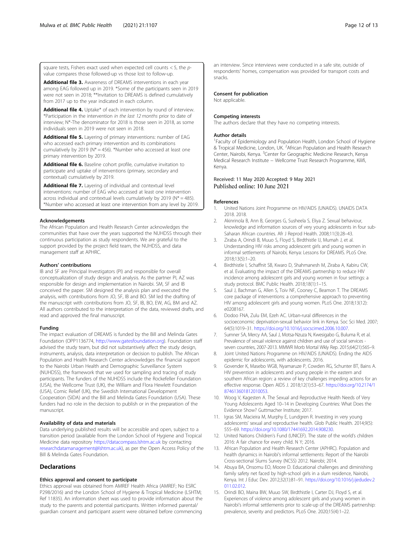<span id="page-11-0"></span>square tests, Fishers exact used when expected cell counts  $<$  5, the  $p$ value compares those followed-up vs those lost to follow-up.

Additional file 3. Awareness of DREAMS interventions in each year among EAG followed up in 2019. \*Some of the participants seen in 2019 were not seen in 2018; \*\*Invitation to DREAMS is defined cumulatively from 2017 up to the year indicated in each column.

Additional file 4. Uptake\* of each intervention by round of interview. \*Participation in the intervention in the last 12 months prior to date of interview; N\*-The denominator for 2018 is those seen in 2018, as some individuals seen in 2019 were not seen in 2018.

Additional file 5. Layering of primary interventions: number of EAG who accessed each primary intervention and its combinations cumulatively by 2019 ( $N^* = 456$ ). \*Number who accessed at least one primary intervention by 2019.

Additional file 6. Baseline cohort profile, cumulative invitation to participate and uptake of interventions (primary, secondary and contextual) cumulatively by 2019.

Additional file 7. Layering of individual and contextual level interventions: number of EAG who accessed at least one intervention across individual and contextual levels cumulatively by 2019 ( $N^* = 485$ ). \*Number who accessed at least one intervention from any level by 2019.

# **Acknowledgements**

The African Population and Health Research Center acknowledges the communities that have over the years supported the NUHDSS through their continuous participation as study respondents. We are grateful to the support provided by the project field team, the NUHDSS, and data management staff at APHRC.

# Authors' contributions

IB and SF are Principal Investigators (PI) and responsible for overall conceptualization of study design and analysis. As the partner PI, AZ was responsible for design and implementation in Nairobi. SM, SF and IB conceived the paper. SM designed the analysis plan and executed the analysis, with contributions from JO, SF, IB and BO. SM led the drafting of the manuscript with contributions from JO, SF, IB, BO, EW, AG, BM and AZ. All authors contributed to the interpretation of the data, reviewed drafts, and read and approved the final manuscript.

# Funding

The impact evaluation of DREAMS is funded by the Bill and Melinda Gates Foundation (OPP1136774, [http://www.gatesfoundation.org\)](http://www.gatesfoundation.org). Foundation staff advised the study team, but did not substantively affect the study design, instruments, analysis, data interpretation or decision to publish. The African Population and Health Research Center acknowledges the financial support to the Nairobi Urban Health and Demographic Surveillance System (NUHDSS), the framework that we used for sampling and tracing of study participants. The funders of the NUHDSS include the Rockefeller Foundation (USA), the Wellcome Trust (UK), the William and Flora Hewlett Foundation (USA), Comic Relief (UK), the Swedish International Development Cooperation (SIDA) and the Bill and Melinda Gates Foundation (USA). These funders had no role in the decision to publish or in the preparation of the manuscript.

# Availability of data and materials

Data underlying published results will be accessible and open, subject to a transition period (available from the London School of Hygiene and Tropical Medicine data repository <https://datacompass.lshtm.ac.uk> by contacting [researchdatamanagement@lshtm.ac.uk](mailto:researchdatamanagement@lshtm.ac.uk)), as per the Open Access Policy of the Bill & Melinda Gates Foundation.

# **Declarations**

# Ethics approval and consent to participate

Ethics approval was obtained from AMREF Health Africa (AMREF; No ESRC P298/2016) and the London School of Hygiene & Tropical Medicine (LSHTM; Ref 11835). An information sheet was used to provide information about the study to the parents and potential participants. Written informed parental/ guardian consent and participant assent were obtained before commencing an interview. Since interviews were conducted in a safe site, outside of respondents' homes, compensation was provided for transport costs and snacks.

# Consent for publication

Not applicable.

### Competing interests

The authors declare that they have no competing interests.

# Author details

<sup>1</sup> Faculty of Epidemiology and Population Health, London School of Hygiene & Tropical Medicine, London, UK. <sup>2</sup>African Population and Health Research Center, Nairobi, Kenya. <sup>3</sup>Center for Geographic Medicine Research, Kenya Medical Research Institute − Wellcome Trust Research Programme, Kilifi, Kenya.

# Received: 11 May 2020 Accepted: 9 May 2021 Published online: 10 June 2021

# References

- 1. United Nations Joint Programme on HIV/AIDS (UNAIDS). UNAIDS DATA 2018. 2018.
- 2. Akinrinola B, Ann B, Georges G, Susheela S, Eliya Z. Sexual behaviour, knowledge and information sources of very young adolescents in four sub-Saharan African countries. Afr J Reprod Health. 2008;11(3):28–43.
- Ziraba A, Orindi B, Muuo S, Floyd S, Birdthistle IJ, Mumah J, et al. Understanding HIV risks among adolescent girls and young women in informal settlements of Nairobi, Kenya: Lessons for DREAMS. PLoS One. 2018;13(5):1–20.
- 4. Birdthistle I, Schaffnit SB, Kwaro D, Shahmanesh M, Ziraba A, Kabiru CW, et al. Evaluating the impact of the DREAMS partnership to reduce HIV incidence among adolescent girls and young women in four settings: a study protocol. BMC Public Health. 2018;18(1):1–15.
- 5. Saul J, Bachman G, Allen S, Toiv NF, Cooney C, Beamon T. The DREAMS core package of interventions: a comprehensive approach to preventing HIV among adolescent girls and young women. PLoS One. 2018;13(12): e0208167.
- 6. Dodoo FNA, Zulu EM, Ezeh AC. Urban-rural differences in the socioeconomic deprivation-sexual behavior link in Kenya. Soc Sci Med. 2007; 64(5):1019–31. <https://doi.org/10.1016/j.socscimed.2006.10.007>.
- 7. Sumner SA, Mercy AA, Saul J, Motsa-Nzuza N, Kwesigabo G, Buluma R, et al. Prevalence of sexual violence against children and use of social services seven countries, 2007-2013. MMWR Morb Mortal Wkly Rep. 2015;64(21):565–9.
- 8. Joint United Nations Programme on HIV/AIDS (UNAIDS). Ending the AIDS epidemic for adolescents, with adolescents. 2016.
- 9. Govender K, Masebo WGB, Nyamaruze P, Cowden RG, Schunter BT, Bains A. HIV prevention in adolescents and young people in the eastern and southern African region: a review of key challenges impeding actions for an effective response. Open AIDS J. 2018;12(1):53–67. [https://doi.org/10.2174/1](https://doi.org/10.2174/1874613601812010053) [874613601812010053](https://doi.org/10.2174/1874613601812010053).
- 10. Woog V, Kagesten A. The Sexual and Reproductive Health Needs of Very Young Adolescents Aged 10–14 in Developing Countries: What Does the Evidence Show? Guttmacher Institute; 2017.
- 11. Igras SM, Macieira M, Murphy E, Lundgren R. Investing in very young adolescents' sexual and reproductive health. Glob Public Health. 2014;9(5): 555–69. [https://doi.org/10.1080/17441692.2014.908230.](https://doi.org/10.1080/17441692.2014.908230)
- 12. United Nations Children's Fund (UNICEF). The state of the world's children 2016: A fair chance for every child. N Y; 2016.
- 13. African Population and Health Research Center (APHRC). Population and health dynamics in Nairobi's informal settlements: Report of the Nairobi Cross-sectional Slums Survey (NCSS) 2012. Nairobi; 2014.
- 14. Abuya BA, Onsomu EO, Moore D. Educational challenges and diminishing family safety net faced by high-school girls in a slum residence, Nairobi, Kenya. Int J Educ Dev. 2012;32(1):81–91. [https://doi.org/10.1016/j.ijedudev.2](https://doi.org/10.1016/j.ijedudev.2011.02.012) [011.02.012](https://doi.org/10.1016/j.ijedudev.2011.02.012).
- 15. Orindi BO, Maina BW, Muuo SW, Birdthistle I, Carter DJ, Floyd S, et al. Experiences of violence among adolescent girls and young women in Nairobi's informal settlements prior to scale-up of the DREAMS partnership: prevalence, severity and predictors. PLoS One. 2020;15(4):1–22.